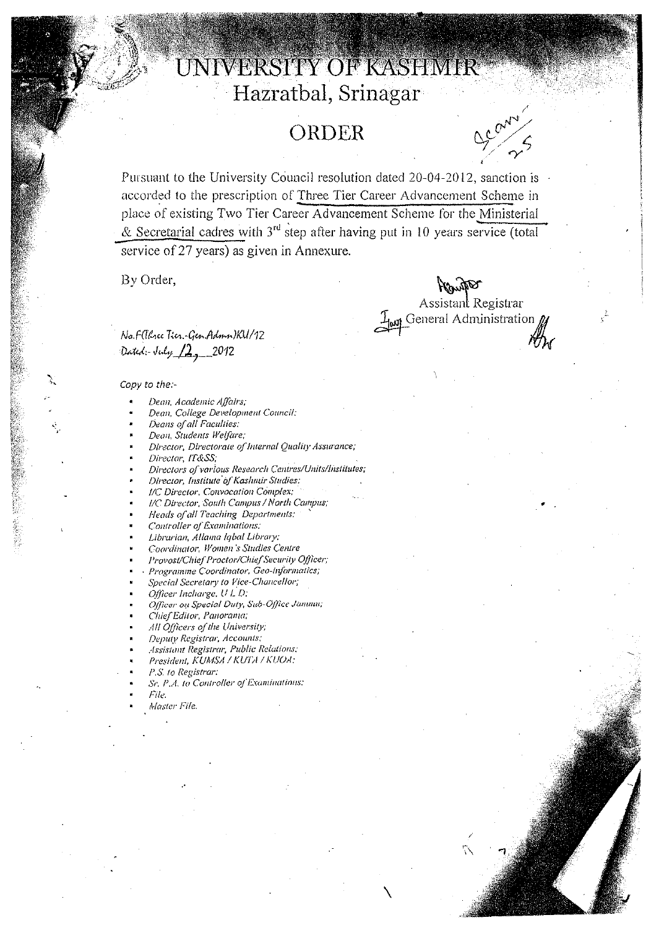# UNIVERSITY OF KASHMIR Hazratbal, Srinagar

## **Ol{DER**

Pursuant to the University Council resolution dated 20-04-2012, sanction is accorded to the prescription of Three Tier Career Advancement Scheme in place of existing Two Tier Career Advancement Scheme for the Ministerial & Secretarial cadres with  $3<sup>rd</sup>$  step after having put in 10 years service (total service of 27 years) as given in Annexure.

By Order,

Bannit Assistant Registrar

 $\setminus$ 

 $\mathcal{I}_{\text{lost}}$  General Administration

/

No. Follence Tier-Gen. Admn) KU/12 Dated :- July 12, 2012

*Copy to the:-* 

- *De(7I1. A cademic Affairs;*
- *Dean, College Development Council:*
- *Deans 0/ a/l Faculties:*
- *Dean, Students Welfare:*
- *Director, Directorate oflnternal Quality Assurance;*
- *Director, IT&SS;*
- *Directors 0/ various Research Centres/Units/Institutes;*
- *Director, Institute '0/ Kashmir Studies;*
- *IIC Director, Convocation Complex;*
- *IIC Director, South Campus I North Campus;*
- *Heads of all Teaching Departments: '*
- *Controller a/Examinations;*
- *Librarian, Allama Iqbal Library;*
- *Coordinator, Women '.I' Studies Centre*
- *Provost/Chief Proctor/Chief Security Officer;*
- *<Programme Coordinator, Geo-informatics;*
- *Special Secretary to Vice-Chancellor;*
- *Officer Incliarge, U L n.*
- *Officer 0,·1 Special DUly, Sub-Ojlict' Jammu;*
- *Chief Editor, Panorama:*
- */111 Officers of the University;*
- *Deputy Registrar, Accollnts;*
- *Assistant Registrar, Public Relations:*
- *President, KUMSr.1 / KUTA / KUOA;*
- *P.S. fa Registrar:*
- *Sr. P.A. to Controller ofExaminations;*
- *File.*
- *Master Fife.*

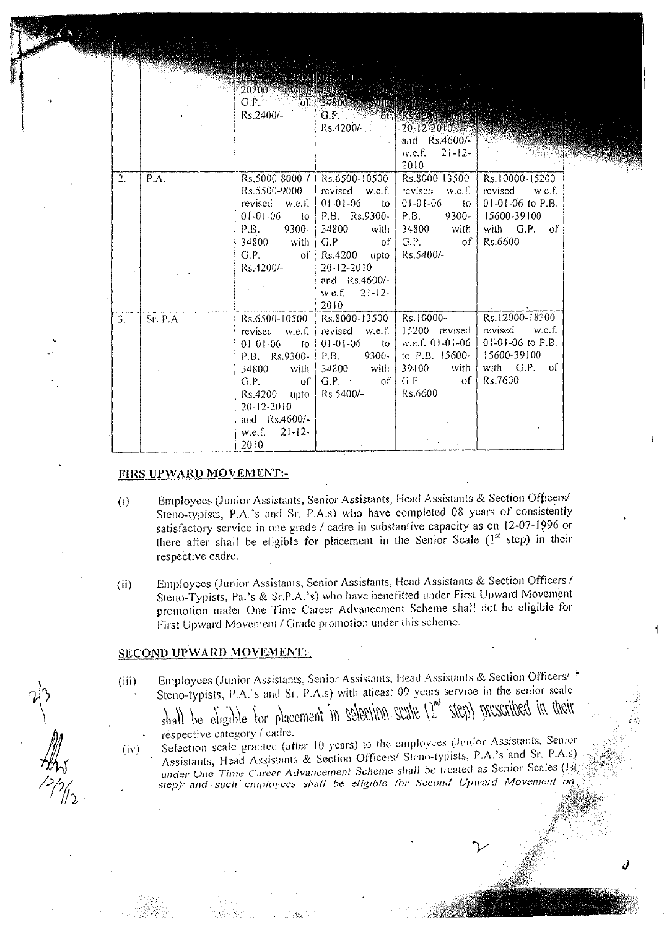|    |          | <b>BELLEVILLE MORE AND LE</b><br>$Rs.2400/-$                                                                                                                                 | 20200 - William Barbara<br>G.P. of 34800 and mathematical<br>$RS.4200/-$                                                                                                                                     | G.P. COMPRESSION CONTROL<br>$20 - 12 - 2010$<br>and Rs.4600/-<br>w.e.f. $21-12-$<br>2010                       |                                                                                                  |
|----|----------|------------------------------------------------------------------------------------------------------------------------------------------------------------------------------|--------------------------------------------------------------------------------------------------------------------------------------------------------------------------------------------------------------|----------------------------------------------------------------------------------------------------------------|--------------------------------------------------------------------------------------------------|
| 2. | P.A.     | Rs.5500-9000<br>revised w.e.f.<br>$01-01-06$ to<br>P.B. 9300-<br>34800 with<br>$G.P.$ of<br>Rs.4200/-                                                                        | $Rs.5000-8000$ /   $Rs.6500-10500$<br>revised w.e.f.<br>$01 - 01 - 06$<br>to l<br>$P.B.$ Rs.9300-<br>34800<br>with<br>$G.P.$ of<br>$Rs.4200$ upto<br>20-12-2010<br>and $Rs.4600/-$<br>w.e.f. $21-12$<br>2010 | Rs.8000-13500<br>revised w.e.f.<br>01-01-06<br>$\pm 0$<br>$P.B.$ 9300-<br>34800 with<br>$G.P.$ of<br>Rs.5400/- | Rs.10000-15200<br>revised w.e.f.<br>$01-01-06$ to P.B.<br>15600-39100<br>with G.P. of<br>Rs.6600 |
| 3. | Sr. P.A. | Rs.6500-10500<br>revised $w.e.f.$<br>$01-01-06$ fo<br>$P.B.$ Rs.9300-<br>34800 with<br>$G.P.$ of<br>$Rs.4200$ upto<br>20-12-2010<br>and Rs.4600/-<br>w.e.f. $21-12-$<br>2010 | Rs.8000-13500<br>revised $w.e.f.$<br>$01 - 01 - 06$ to $\frac{1}{2}$<br>$P.B.$ 9300-<br>$34800$ with<br>$G.P.$ of<br>Rs.5400/-                                                                               | Rs.10000-<br>$15200$ revised<br>w.e.f. $01-01-06$<br>to P.B. $15600 -$<br>$39.100$ with<br>G.P. of<br>Rs.6600  | Rs.12000-18300<br>revised w.e.f.<br>$01-01-06$ to P.B.<br>15600-39100<br>with G.P. of<br>Rs.7600 |

#### FIRS UPWARD MOVEMENT:-

- (i) Employees (Junior Assistants, Senior Assistants, Head Assistants & Section Officers! Steno-typists, P.A. 's and Sr. P.A.s) who have completed 08 years of consistently satisfactory service in one grade / cadre in substantive capacity as on 12-07-1996 or there after shall be eligible for placement in the Senior Scale  $(l^{st}$  step) in their respective cadre.
- (ii) Employees (Junior Assistants, Senior Assistants, Head Assistants & Section Officers / Steno-Typists, Pa.'s & Sr.P.A.'s) who have benefitted under First Upward Movement promotion under One Time Career Advancement Scheme shall not be eligible for First Upward Movement / Grade promotion under this scheme.

#### SECOND UPWARD MOVEMENT:-

(iii) Employees (Junior Assistants, Senior Assistants, Head Assistants & Section Officers/ Steno-typists, P.A.'s and Sr. P.A.s) with atleast 09 years service in the senior scale  $shall$  be eligible for placement in selection scale  $(2^{nd}$  step) prescribed in their

respective category! cadre. . . "

 $\sum_{i=1}^{n}$  scale granted (after 10 years) to the employees (Junior Assistants, Senior Assistants, Head Assistants & Section Officers/ Steno-typists, P.A.'s and Sr. P.A.s) *under* One *Time Career Advancement* Scheme shall be treated as Senior Scales *step): and· such L'//I/J/oyees shall* be *eligible tor Second Upward Movement*  (iv)

*J* 

 $\begin{matrix} \downarrow \ \downarrow \ \downarrow \end{matrix}$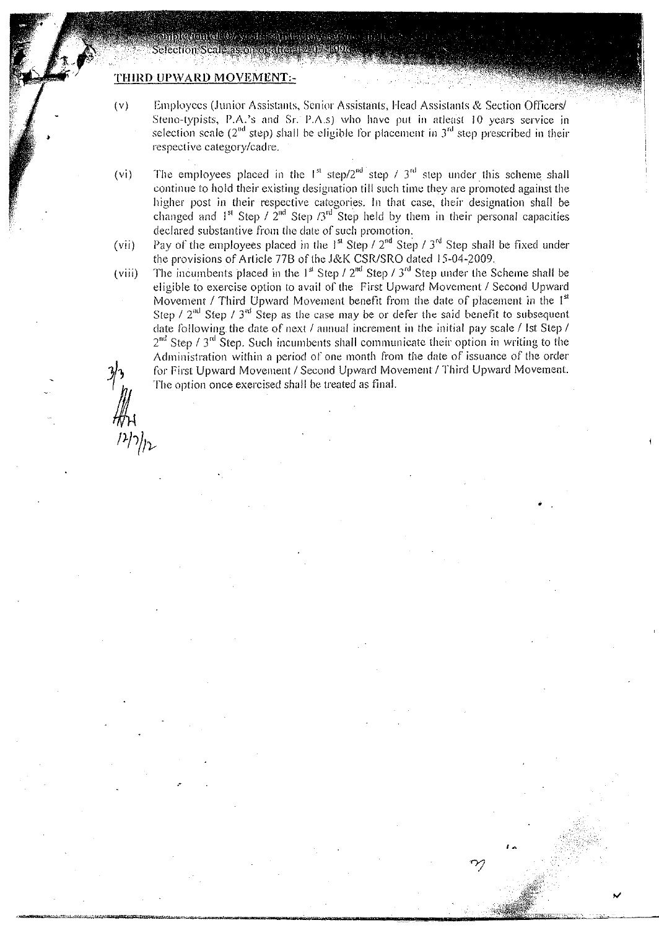### THIRD UPWARD MOVEMENT:-

indiction of the series of a little conservation

- (v) Employees (Junior Assistants, Senior Assistants, Head Assistants & Section Officers/ Steno-typists, P.A.'s and Sr. P.A.s) who have put in atleast 10 years service in selection scale ( $2<sup>nd</sup>$  step) shall be eligible for placement in  $3<sup>rd</sup>$  step prescribed in their respective category/cadre.
- (vi) The employees placed in the  $1<sup>st</sup>$  step/2<sup>nd</sup> step / 3<sup>rd</sup> step under this scheme shall continue to hold their existing designation till such time they are promoted against the higher post in their respective categories. In that case, their designation shall be changed and  $1^{st}$  Step /  $2^{nd}$  Step /3<sup>rd</sup> Step held by them in their personal capacities declared substantive from the date of such promotion.
- (vii) Pay of the employees placed in the  $1<sup>st</sup>$  Step / 2<sup>nd</sup> Step / 3<sup>rd</sup> Step shall be fixed under the provisions of Article 77B of the J&K CSR/SRO dated 15-04-2009.
- (viii) The incumbents placed in the  $1<sup>st</sup>$  Step */*  $2<sup>nd</sup>$  Step */*  $3<sup>rd</sup>$  Step under the Scheme shall be eligible to exercise option to avail of the First Upward Movement / Second Upward Movement / Third Upward Movement benefit from the date of placement in the  $1<sup>st</sup>$ Step /  $2<sup>nd</sup>$  Step /  $3<sup>nd</sup>$  Step as the case may be or defer the said benefit to subsequent date following the date of next *I* annual increment in the initial pay scale *I* Ist Step /  $2<sup>nd</sup>$  Step /  $3<sup>rd</sup>$  Step. Such incumbents shall communicate their option in writing to the Administration within a period of one month from the date of issuance of the order for First Upward Movement / Second Upward Movement / Third Upward Movement. The option once exercised shall be treated as final.

•